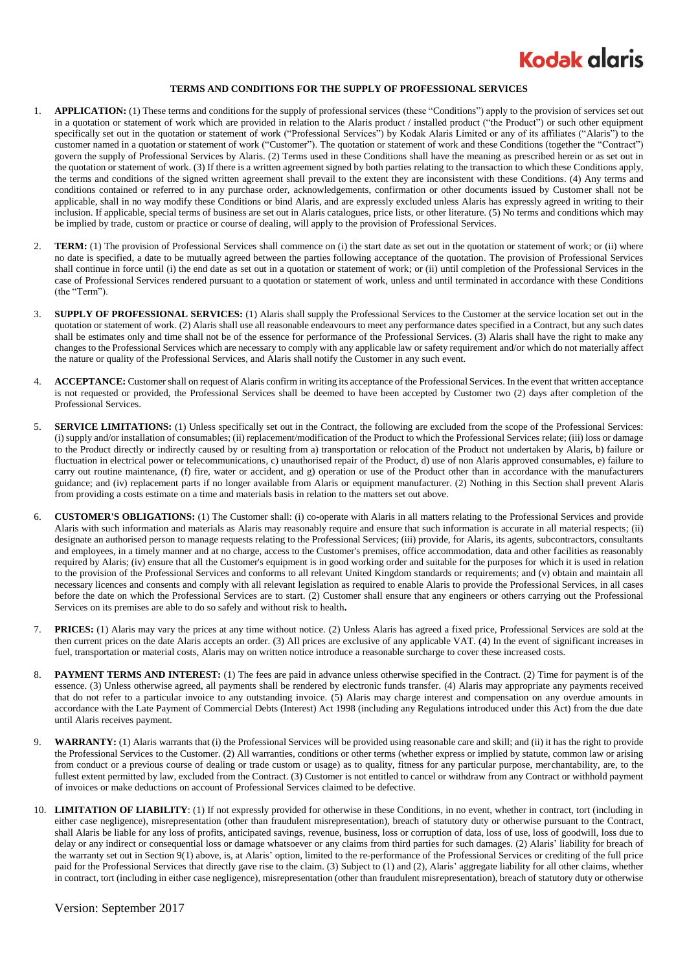

## **TERMS AND CONDITIONS FOR THE SUPPLY OF PROFESSIONAL SERVICES**

- 1. **APPLICATION:** (1) These terms and conditions for the supply of professional services (these "Conditions") apply to the provision of services set out in a quotation or statement of work which are provided in relation to the Alaris product / installed product ("the Product") or such other equipment specifically set out in the quotation or statement of work ("Professional Services") by Kodak Alaris Limited or any of its affiliates ("Alaris") to the customer named in a quotation or statement of work ("Customer"). The quotation or statement of work and these Conditions (together the "Contract") govern the supply of Professional Services by Alaris. (2) Terms used in these Conditions shall have the meaning as prescribed herein or as set out in the quotation or statement of work. (3) If there is a written agreement signed by both parties relating to the transaction to which these Conditions apply, the terms and conditions of the signed written agreement shall prevail to the extent they are inconsistent with these Conditions. (4) Any terms and conditions contained or referred to in any purchase order, acknowledgements, confirmation or other documents issued by Customer shall not be applicable, shall in no way modify these Conditions or bind Alaris, and are expressly excluded unless Alaris has expressly agreed in writing to their inclusion. If applicable, special terms of business are set out in Alaris catalogues, price lists, or other literature. (5) No terms and conditions which may be implied by trade, custom or practice or course of dealing, will apply to the provision of Professional Services.
- 2. **TERM:** (1) The provision of Professional Services shall commence on (i) the start date as set out in the quotation or statement of work; or (ii) where no date is specified, a date to be mutually agreed between the parties following acceptance of the quotation. The provision of Professional Services shall continue in force until (i) the end date as set out in a quotation or statement of work; or (ii) until completion of the Professional Services in the case of Professional Services rendered pursuant to a quotation or statement of work, unless and until terminated in accordance with these Conditions (the "Term").
- 3. **SUPPLY OF PROFESSIONAL SERVICES:** (1) Alaris shall supply the Professional Services to the Customer at the service location set out in the quotation or statement of work. (2) Alaris shall use all reasonable endeavours to meet any performance dates specified in a Contract, but any such dates shall be estimates only and time shall not be of the essence for performance of the Professional Services. (3) Alaris shall have the right to make any changes to the Professional Services which are necessary to comply with any applicable law or safety requirement and/or which do not materially affect the nature or quality of the Professional Services, and Alaris shall notify the Customer in any such event.
- 4. **ACCEPTANCE:** Customer shall on request of Alaris confirm in writing its acceptance of the Professional Services. In the event that written acceptance is not requested or provided, the Professional Services shall be deemed to have been accepted by Customer two (2) days after completion of the Professional Services.
- 5. **SERVICE LIMITATIONS:** (1) Unless specifically set out in the Contract, the following are excluded from the scope of the Professional Services: (i) supply and/or installation of consumables; (ii) replacement/modification of the Product to which the Professional Services relate; (iii) loss or damage to the Product directly or indirectly caused by or resulting from a) transportation or relocation of the Product not undertaken by Alaris, b) failure or fluctuation in electrical power or telecommunications, c) unauthorised repair of the Product, d) use of non Alaris approved consumables, e) failure to carry out routine maintenance, (f) fire, water or accident, and g) operation or use of the Product other than in accordance with the manufacturers guidance; and (iv) replacement parts if no longer available from Alaris or equipment manufacturer. (2) Nothing in this Section shall prevent Alaris from providing a costs estimate on a time and materials basis in relation to the matters set out above.
- 6. **CUSTOMER'S OBLIGATIONS:** (1) The Customer shall: (i) co-operate with Alaris in all matters relating to the Professional Services and provide Alaris with such information and materials as Alaris may reasonably require and ensure that such information is accurate in all material respects; (ii) designate an authorised person to manage requests relating to the Professional Services; (iii) provide, for Alaris, its agents, subcontractors, consultants and employees, in a timely manner and at no charge, access to the Customer's premises, office accommodation, data and other facilities as reasonably required by Alaris; (iv) ensure that all the Customer's equipment is in good working order and suitable for the purposes for which it is used in relation to the provision of the Professional Services and conforms to all relevant United Kingdom standards or requirements; and (v) obtain and maintain all necessary licences and consents and comply with all relevant legislation as required to enable Alaris to provide the Professional Services, in all cases before the date on which the Professional Services are to start. (2) Customer shall ensure that any engineers or others carrying out the Professional Services on its premises are able to do so safely and without risk to health**.**
- 7. **PRICES:** (1) Alaris may vary the prices at any time without notice. (2) Unless Alaris has agreed a fixed price, Professional Services are sold at the then current prices on the date Alaris accepts an order. (3) All prices are exclusive of any applicable VAT. (4) In the event of significant increases in fuel, transportation or material costs, Alaris may on written notice introduce a reasonable surcharge to cover these increased costs.
- 8. **PAYMENT TERMS AND INTEREST:** (1) The fees are paid in advance unless otherwise specified in the Contract. (2) Time for payment is of the essence. (3) Unless otherwise agreed, all payments shall be rendered by electronic funds transfer. (4) Alaris may appropriate any payments received that do not refer to a particular invoice to any outstanding invoice. (5) Alaris may charge interest and compensation on any overdue amounts in accordance with the Late Payment of Commercial Debts (Interest) Act 1998 (including any Regulations introduced under this Act) from the due date until Alaris receives payment.
- 9. **WARRANTY:** (1) Alaris warrants that (i) the Professional Services will be provided using reasonable care and skill; and (ii) it has the right to provide the Professional Services to the Customer. (2) All warranties, conditions or other terms (whether express or implied by statute, common law or arising from conduct or a previous course of dealing or trade custom or usage) as to quality, fitness for any particular purpose, merchantability, are, to the fullest extent permitted by law, excluded from the Contract. (3) Customer is not entitled to cancel or withdraw from any Contract or withhold payment of invoices or make deductions on account of Professional Services claimed to be defective.
- 10. **LIMITATION OF LIABILITY**: (1) If not expressly provided for otherwise in these Conditions, in no event, whether in contract, tort (including in either case negligence), misrepresentation (other than fraudulent misrepresentation), breach of statutory duty or otherwise pursuant to the Contract, shall Alaris be liable for any loss of profits, anticipated savings, revenue, business, loss or corruption of data, loss of use, loss of goodwill, loss due to delay or any indirect or consequential loss or damage whatsoever or any claims from third parties for such damages. (2) Alaris' liability for breach of the warranty set out in Section 9(1) above, is, at Alaris' option, limited to the re-performance of the Professional Services or crediting of the full price paid for the Professional Services that directly gave rise to the claim. (3) Subject to (1) and (2), Alaris' aggregate liability for all other claims, whether in contract, tort (including in either case negligence), misrepresentation (other than fraudulent misrepresentation), breach of statutory duty or otherwise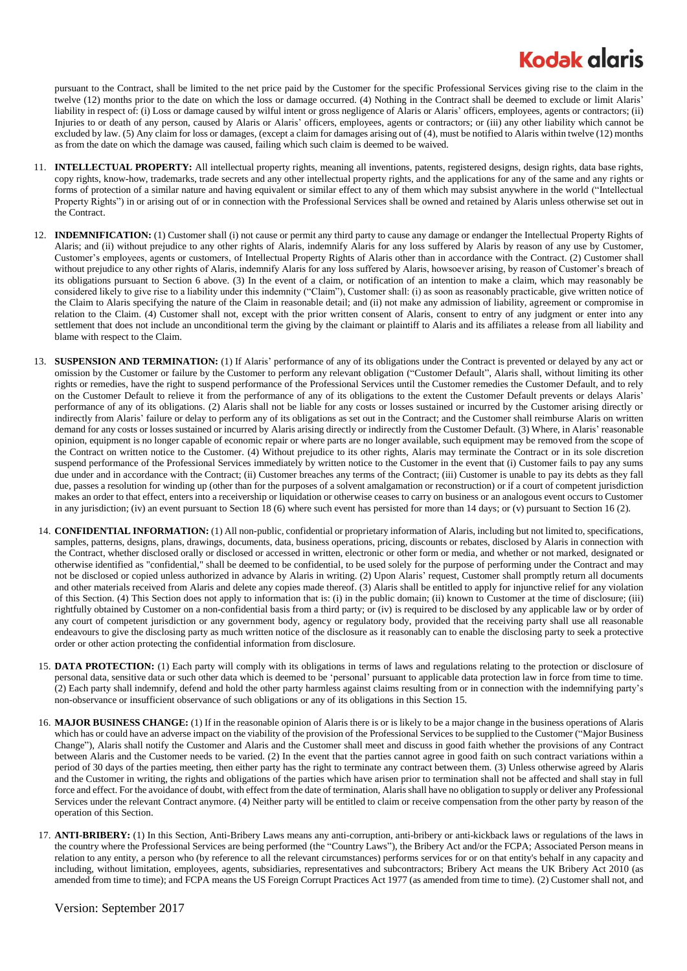## **Kodak glaris**

pursuant to the Contract, shall be limited to the net price paid by the Customer for the specific Professional Services giving rise to the claim in the twelve (12) months prior to the date on which the loss or damage occurred. (4) Nothing in the Contract shall be deemed to exclude or limit Alaris' liability in respect of: (i) Loss or damage caused by wilful intent or gross negligence of Alaris or Alaris' officers, employees, agents or contractors; (ii) Injuries to or death of any person, caused by Alaris or Alaris' officers, employees, agents or contractors; or (iii) any other liability which cannot be excluded by law. (5) Any claim for loss or damages, (except a claim for damages arising out of (4), must be notified to Alaris within twelve (12) months as from the date on which the damage was caused, failing which such claim is deemed to be waived.

- 11. **INTELLECTUAL PROPERTY:** All intellectual property rights, meaning all inventions, patents, registered designs, design rights, data base rights, copy rights, know-how, trademarks, trade secrets and any other intellectual property rights, and the applications for any of the same and any rights or forms of protection of a similar nature and having equivalent or similar effect to any of them which may subsist anywhere in the world ("Intellectual Property Rights") in or arising out of or in connection with the Professional Services shall be owned and retained by Alaris unless otherwise set out in the Contract.
- 12. **INDEMNIFICATION:** (1) Customer shall (i) not cause or permit any third party to cause any damage or endanger the Intellectual Property Rights of Alaris; and (ii) without prejudice to any other rights of Alaris, indemnify Alaris for any loss suffered by Alaris by reason of any use by Customer, Customer's employees, agents or customers, of Intellectual Property Rights of Alaris other than in accordance with the Contract. (2) Customer shall without prejudice to any other rights of Alaris, indemnify Alaris for any loss suffered by Alaris, howsoever arising, by reason of Customer's breach of its obligations pursuant to Section 6 above. (3) In the event of a claim, or notification of an intention to make a claim, which may reasonably be considered likely to give rise to a liability under this indemnity ("Claim"), Customer shall: (i) as soon as reasonably practicable, give written notice of the Claim to Alaris specifying the nature of the Claim in reasonable detail; and (ii) not make any admission of liability, agreement or compromise in relation to the Claim. (4) Customer shall not, except with the prior written consent of Alaris, consent to entry of any judgment or enter into any settlement that does not include an unconditional term the giving by the claimant or plaintiff to Alaris and its affiliates a release from all liability and blame with respect to the Claim.
- 13. **SUSPENSION AND TERMINATION:** (1) If Alaris' performance of any of its obligations under the Contract is prevented or delayed by any act or omission by the Customer or failure by the Customer to perform any relevant obligation ("Customer Default", Alaris shall, without limiting its other rights or remedies, have the right to suspend performance of the Professional Services until the Customer remedies the Customer Default, and to rely on the Customer Default to relieve it from the performance of any of its obligations to the extent the Customer Default prevents or delays Alaris' performance of any of its obligations. (2) Alaris shall not be liable for any costs or losses sustained or incurred by the Customer arising directly or indirectly from Alaris' failure or delay to perform any of its obligations as set out in the Contract; and the Customer shall reimburse Alaris on written demand for any costs or losses sustained or incurred by Alaris arising directly or indirectly from the Customer Default. (3) Where, in Alaris' reasonable opinion, equipment is no longer capable of economic repair or where parts are no longer available, such equipment may be removed from the scope of the Contract on written notice to the Customer. (4) Without prejudice to its other rights, Alaris may terminate the Contract or in its sole discretion suspend performance of the Professional Services immediately by written notice to the Customer in the event that (i) Customer fails to pay any sums due under and in accordance with the Contract; (ii) Customer breaches any terms of the Contract; (iii) Customer is unable to pay its debts as they fall due, passes a resolution for winding up (other than for the purposes of a solvent amalgamation or reconstruction) or if a court of competent jurisdiction makes an order to that effect, enters into a receivership or liquidation or otherwise ceases to carry on business or an analogous event occurs to Customer in any jurisdiction; (iv) an event pursuant to Section 18 (6) where such event has persisted for more than 14 days; or (v) pursuant to Sectio[n 16](#page-1-0) (2).
- 14. **CONFIDENTIAL INFORMATION:** (1) All non-public, confidential or proprietary information of Alaris, including but not limited to, specifications, samples, patterns, designs, plans, drawings, documents, data, business operations, pricing, discounts or rebates, disclosed by Alaris in connection with the Contract, whether disclosed orally or disclosed or accessed in written, electronic or other form or media, and whether or not marked, designated or otherwise identified as "confidential," shall be deemed to be confidential, to be used solely for the purpose of performing under the Contract and may not be disclosed or copied unless authorized in advance by Alaris in writing. (2) Upon Alaris' request, Customer shall promptly return all documents and other materials received from Alaris and delete any copies made thereof. (3) Alaris shall be entitled to apply for injunctive relief for any violation of this Section. (4) This Section does not apply to information that is: (i) in the public domain; (ii) known to Customer at the time of disclosure; (iii) rightfully obtained by Customer on a non-confidential basis from a third party; or (iv) is required to be disclosed by any applicable law or by order of any court of competent jurisdiction or any government body, agency or regulatory body, provided that the receiving party shall use all reasonable endeavours to give the disclosing party as much written notice of the disclosure as it reasonably can to enable the disclosing party to seek a protective order or other action protecting the confidential information from disclosure.
- <span id="page-1-1"></span>15. DATA PROTECTION: (1) Each party will comply with its obligations in terms of laws and regulations relating to the protection or disclosure of personal data, sensitive data or such other data which is deemed to be 'personal' pursuant to applicable data protection law in force from time to time. (2) Each party shall indemnify, defend and hold the other party harmless against claims resulting from or in connection with the indemnifying party's non-observance or insufficient observance of such obligations or any of its obligations in this Sectio[n 15.](#page-1-1)
- <span id="page-1-0"></span>16. **MAJOR BUSINESS CHANGE:** (1) If in the reasonable opinion of Alaris there is or is likely to be a major change in the business operations of Alaris which has or could have an adverse impact on the viability of the provision of the Professional Services to be supplied to the Customer ("Major Business Change"), Alaris shall notify the Customer and Alaris and the Customer shall meet and discuss in good faith whether the provisions of any Contract between Alaris and the Customer needs to be varied. (2) In the event that the parties cannot agree in good faith on such contract variations within a period of 30 days of the parties meeting, then either party has the right to terminate any contract between them. (3) Unless otherwise agreed by Alaris and the Customer in writing, the rights and obligations of the parties which have arisen prior to termination shall not be affected and shall stay in full force and effect. For the avoidance of doubt, with effect from the date of termination, Alaris shall have no obligation to supply or deliver any Professional Services under the relevant Contract anymore. (4) Neither party will be entitled to claim or receive compensation from the other party by reason of the operation of this Section.
- 17. **ANTI-BRIBERY:** (1) In this Section, Anti-Bribery Laws means any anti-corruption, anti-bribery or anti-kickback laws or regulations of the laws in the country where the Professional Services are being performed (the "Country Laws"), the Bribery Act and/or the FCPA; Associated Person means in relation to any entity, a person who (by reference to all the relevant circumstances) performs services for or on that entity's behalf in any capacity and including, without limitation, employees, agents, subsidiaries, representatives and subcontractors; Bribery Act means the UK Bribery Act 2010 (as amended from time to time); and FCPA means the US Foreign Corrupt Practices Act 1977 (as amended from time to time). (2) Customer shall not, and